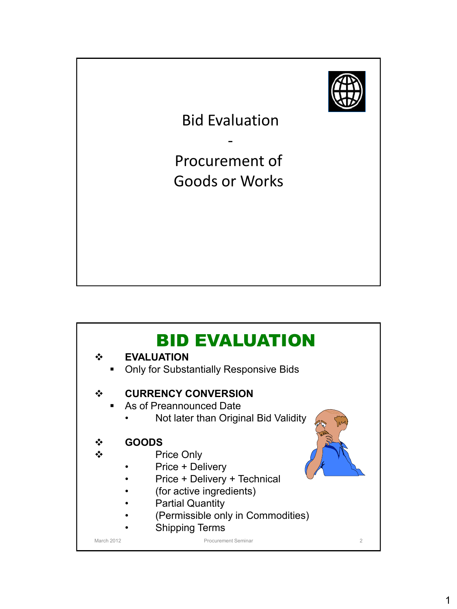

Bid Evaluation

-

Procurement of Goods or Works

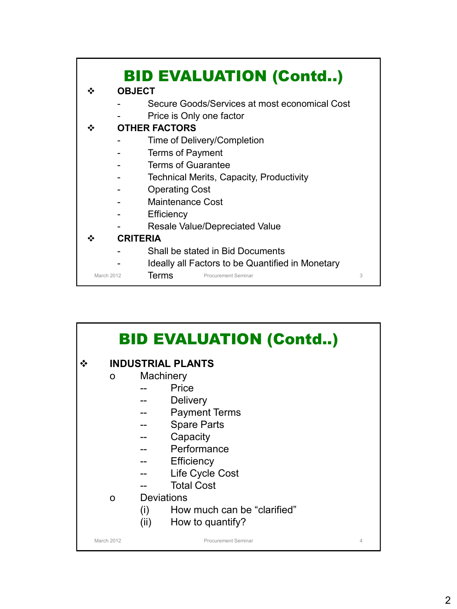

|            |   |                   | <b>BID EVALUATION (Contd)</b> |   |
|------------|---|-------------------|-------------------------------|---|
|            |   |                   | <b>INDUSTRIAL PLANTS</b>      |   |
|            | 0 | Machinery         |                               |   |
|            |   |                   | Price                         |   |
|            |   |                   | <b>Delivery</b>               |   |
|            |   |                   | <b>Payment Terms</b>          |   |
|            |   |                   | <b>Spare Parts</b>            |   |
|            |   |                   | Capacity                      |   |
|            |   |                   | Performance                   |   |
|            |   |                   | Efficiency                    |   |
|            |   |                   | Life Cycle Cost               |   |
|            |   |                   | <b>Total Cost</b>             |   |
|            | O | <b>Deviations</b> |                               |   |
|            |   | (i)               | How much can be "clarified"   |   |
|            |   | (ii)              | How to quantify?              |   |
| March 2012 |   |                   | Procurement Seminar           | 4 |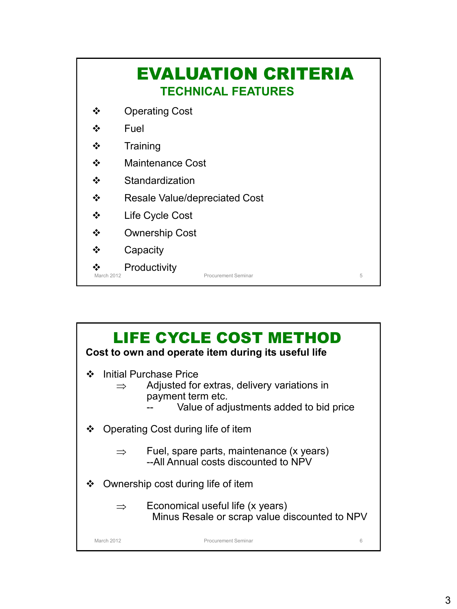|                   | <b>EVALUATION CRITERIA</b><br><b>TECHNICAL FEATURES</b> |
|-------------------|---------------------------------------------------------|
| ❖                 | <b>Operating Cost</b>                                   |
| ❖                 | Fuel                                                    |
| ❖                 | Training                                                |
| ❖                 | <b>Maintenance Cost</b>                                 |
| ❖                 | Standardization                                         |
| ❖                 | <b>Resale Value/depreciated Cost</b>                    |
| ❖                 | Life Cycle Cost                                         |
| ❖                 | <b>Ownership Cost</b>                                   |
| ❖                 | Capacity                                                |
| <b>March 2012</b> | Productivity<br>5<br>Procurement Seminar                |

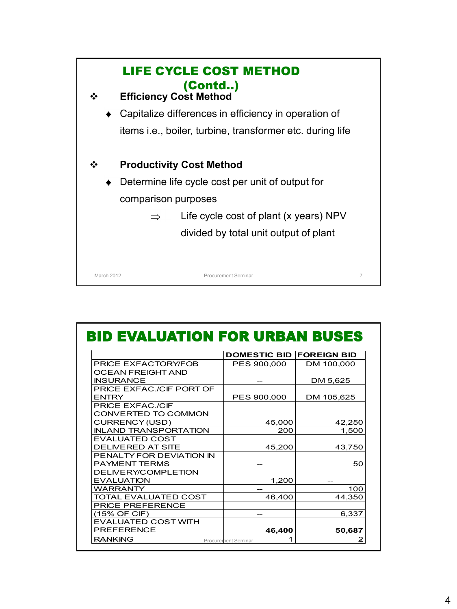

| <b>BID EVALUATION FOR URBAN BUSES</b> |                          |                    |
|---------------------------------------|--------------------------|--------------------|
|                                       | <b>DOMESTIC BID</b>      | <b>FOREIGN BID</b> |
| PRICE EXFACTORY/FOB                   | PES 900,000              | DM 100,000         |
| OCEAN FREIGHT AND                     |                          |                    |
| <b>INSURANCE</b>                      |                          | DM 5,625           |
| PRICE EXFAC./CIF PORT OF              |                          |                    |
| ENTRY                                 | PES 900,000              | DM 105,625         |
| PRICE EXFAC./CIF                      |                          |                    |
| CONVERTED TO COMMON                   |                          |                    |
| CURRENCY (USD)                        | 45,000                   | 42,250             |
| <b>INLAND TRANSPORTATION</b>          | 200                      | 1,500              |
| <b>EVALUATED COST</b>                 |                          |                    |
| DELIVERED AT SITE                     | 45,200                   | 43.750             |
| PENALTY FOR DEVIATION IN              |                          |                    |
| PAYMENT TERMS                         |                          | 50                 |
| DELIVERY/COMPLETION                   |                          |                    |
| <b>EVALUATION</b>                     | 1,200                    |                    |
| WARRANTY                              |                          | 100                |
| TOTAL EVALUATED COST                  | 46,400                   | 44,350             |
| PRICE PREFERENCE                      |                          |                    |
| (15% OF CIF)                          |                          | 6,337              |
| EVALUATED COST WITH                   |                          |                    |
| <b>PREFERENCE</b>                     | 46,400                   | 50,687             |
| <b>RANKING</b>                        | 1<br>Procurement Seminar | 2                  |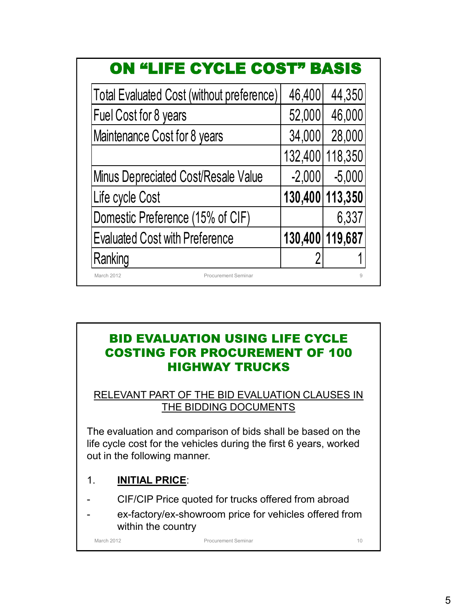| <b>ON "LIFE CYCLE COST" BASIS</b>         |                 |                 |
|-------------------------------------------|-----------------|-----------------|
| Total Evaluated Cost (without preference) | 46,400          | 44,350          |
| Fuel Cost for 8 years                     | 52,000          | 46,000          |
| Maintenance Cost for 8 years              | 34,000          | 28,000          |
|                                           | 132,400         | 118,350         |
| Minus Depreciated Cost/Resale Value       | $-2,000$        | $-5,000$        |
| Life cycle Cost                           |                 | 130,400 113,350 |
| Domestic Preference (15% of CIF)          |                 | 6,337           |
| <b>Evaluated Cost with Preference</b>     | 130,400 119,687 |                 |
| Ranking                                   | 2               |                 |
| March 2012<br><b>Procurement Seminar</b>  |                 | $\Omega$        |

# BID EVALUATION USING LIFE CYCLE COSTING FOR PROCUREMENT OF 100 HIGHWAY TRUCKS

RELEVANT PART OF THE BID EVALUATION CLAUSES IN THE BIDDING DOCUMENTS

The evaluation and comparison of bids shall be based on the life cycle cost for the vehicles during the first 6 years, worked out in the following manner.

### 1. **INITIAL PRICE**:

- CIF/CIP Price quoted for trucks offered from abroad
- ex-factory/ex-showroom price for vehicles offered from within the country

March 2012 **Procurement Seminar** Procurement Seminar 10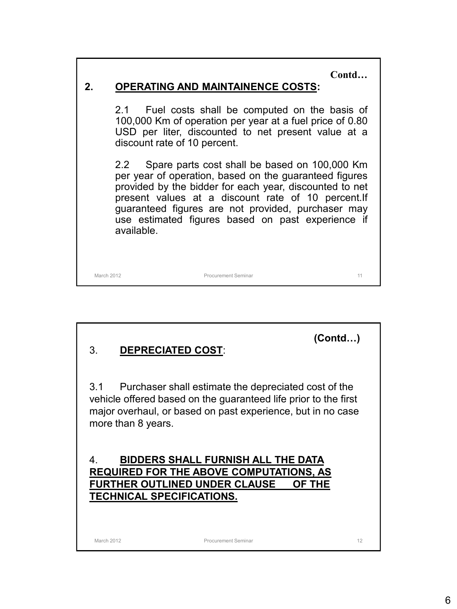**Contd…**

### **2. OPERATING AND MAINTAINENCE COSTS:**

2.1 Fuel costs shall be computed on the basis of 100,000 Km of operation per year at a fuel price of 0.80 USD per liter, discounted to net present value at a discount rate of 10 percent.

2.2 Spare parts cost shall be based on 100,000 Km per year of operation, based on the guaranteed figures provided by the bidder for each year, discounted to net present values at a discount rate of 10 percent.If guaranteed figures are not provided, purchaser may use estimated figures based on past experience if available.

March 2012 Procurement Seminar 11

**(Contd…)**

### 3. **DEPRECIATED COST**:

3.1 Purchaser shall estimate the depreciated cost of the vehicle offered based on the guaranteed life prior to the first major overhaul, or based on past experience, but in no case more than 8 years.

### 4. **BIDDERS SHALL FURNISH ALL THE DATA REQUIRED FOR THE ABOVE COMPUTATIONS, AS FURTHER OUTLINED UNDER CLAUSE OF THE TECHNICAL SPECIFICATIONS.**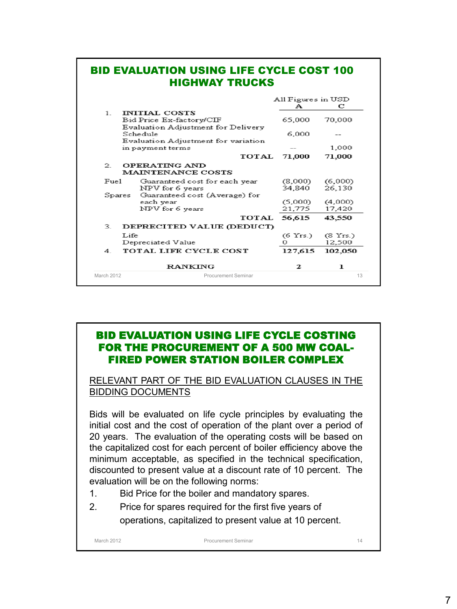|              | <b>BID EVALUATION USING LIFE CYCLE COST 100</b><br><b>HIGHWAY TRUCKS</b> |                         |                    |
|--------------|--------------------------------------------------------------------------|-------------------------|--------------------|
|              |                                                                          | All Figures in USD<br>А | с                  |
| $\mathbf{1}$ | <b>INITIAL COSTS</b><br>Bid Price Ex-factory/CIF                         | 65,000                  | 70,000             |
|              | Evaluation Adjustment for Delivery<br>Schedule                           | 6.000                   |                    |
|              | Evaluation Adjustment for variation<br>in payment terms                  |                         | 1,000              |
|              | TOTAL                                                                    | 71,000                  | 71,000             |
| $\mathbf{2}$ | OPERATING AND<br><b>MAINTENANCE COSTS</b>                                |                         |                    |
| Func1        | Guaranteed cost for each year                                            | (8,000)                 | (6,000)            |
|              | NPV for 6 years                                                          | 34,840                  | 26,130             |
| Spares       | Guaranteed cost (Average) for                                            |                         |                    |
|              | each year<br>NPV for 6 years                                             | (5,000)<br>21.775       | (4,000)<br>17,420  |
|              | <b>TOTAL</b>                                                             | 56,615                  | 43,550             |
| 3.           | DEPRECITED VALUE (DEDUCT)                                                |                         |                    |
| Life         | Depreciated Value                                                        | $(6 \text{Yrs.})$<br>Ω  | (8 Yrs.)<br>12,500 |
| 4            | TOTAL LIFE CYCLE COST                                                    | 127,615                 | 102,050            |
|              | <b>RANKING</b>                                                           | 2                       | ı                  |
| March 2012   | Procurement Seminar                                                      |                         | 13                 |

### BID EVALUATION USING LIFE CYCLE COSTING FOR THE PROCUREMENT OF A 500 MW COAL-FIRED POWER STATION BOILER COMPLEX

RELEVANT PART OF THE BID EVALUATION CLAUSES IN THE BIDDING DOCUMENTS

Bids will be evaluated on life cycle principles by evaluating the initial cost and the cost of operation of the plant over a period of 20 years. The evaluation of the operating costs will be based on the capitalized cost for each percent of boiler efficiency above the minimum acceptable, as specified in the technical specification, discounted to present value at a discount rate of 10 percent. The evaluation will be on the following norms:

- 1. Bid Price for the boiler and mandatory spares.
- 2. Price for spares required for the first five years of operations, capitalized to present value at 10 percent.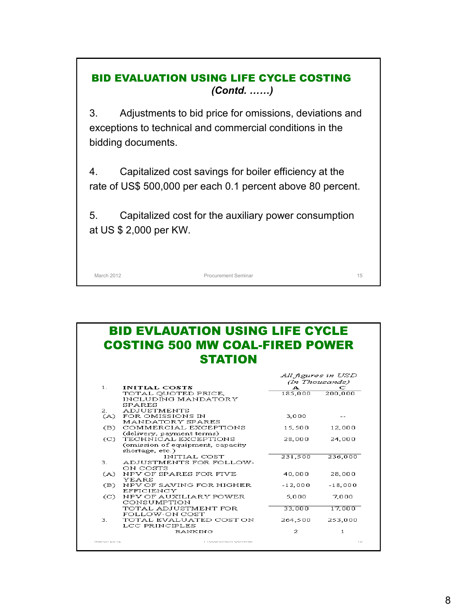### BID EVALUATION USING LIFE CYCLE COSTING *(Contd. ……)*

3. Adjustments to bid price for omissions, deviations and exceptions to technical and commercial conditions in the bidding documents.

4. Capitalized cost savings for boiler efficiency at the rate of US\$ 500,000 per each 0.1 percent above 80 percent.

5. Capitalized cost for the auxiliary power consumption at US \$ 2,000 per KW.

March 2012 **Procurement Seminar 15** 

#### BID EVLAUATION USING LIFE CYCLE COSTING 500 MW COAL-FIRED POWER **STATION** All figures in USD (In Thousands)  $1<sup>1</sup>$ **INITIAL COSTS**  $A \n C$ <br>185,000 200,000 TOTAL QUOTED PRICE,<br>INCLUDING MANDATORY

|                                    | INCLUDING MANDATORY              |           |           |
|------------------------------------|----------------------------------|-----------|-----------|
|                                    | SPARES                           |           |           |
| 2.                                 | <b>ADJUSTMENTS</b>               |           |           |
| (A)                                | FOR OMISSIONS IN                 | 3,000     |           |
|                                    | MANDATORY SPARES                 |           |           |
| (B)                                | COMMERCIAL EXCEPTIONS            | 15,500    | 12,000    |
|                                    | (delivery, payment terms)        |           |           |
| $\left( \mathbb{C}\right)$         | TECHNICAL EXCEPTIONS             | 28,000    | 24,000    |
|                                    | (omission of equipment, capacity |           |           |
|                                    | shortage, etc.)                  |           |           |
|                                    | INITIAL COST                     | 231,500   | 236,000   |
| 3.,                                | ADJUSTMENTS FOR FOLLOW-          |           |           |
|                                    | ON COSTS                         |           |           |
| (A)                                | NPV OF SPARES FOR FIVE           | 40,000    | 28,000    |
|                                    | YEARS                            |           |           |
| (B)                                | NPV OF SAVING FOR HIGHER         | $-12,000$ | $-18,000$ |
|                                    | EFFICIENCY                       |           |           |
| $\left( \circlearrowright \right)$ | NPV OF AUXILIARY POWER           | 5.000     | 7.000     |
|                                    | CONSUMPTION                      |           |           |
|                                    | TOTAL ADJUSTMENT FOR             | 33,000    | 17,000    |
|                                    | FOLLOW-ON COST                   |           |           |
| З.                                 | TOTAL EVALUATED COST ON          | 264,500   | 253,000   |
|                                    | LCC PRINCIPLES                   |           |           |
|                                    | RANKING                          | 2         | 1         |
|                                    |                                  |           |           |
| $IVICI1$ $V11$ $L$ $V1$ $L$        |                                  |           | 1.3.4     |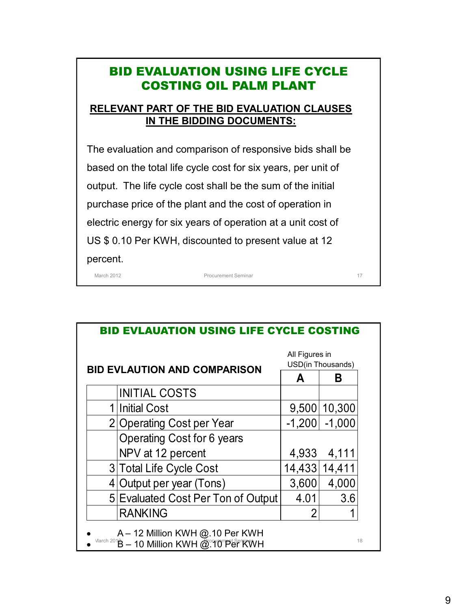# BID EVALUATION USING LIFE CYCLE COSTING OIL PALM PLANT

### **RELEVANT PART OF THE BID EVALUATION CLAUSES IN THE BIDDING DOCUMENTS:**

The evaluation and comparison of responsive bids shall be based on the total life cycle cost for six years, per unit of output. The life cycle cost shall be the sum of the initial purchase price of the plant and the cost of operation in electric energy for six years of operation at a unit cost of US \$ 0.10 Per KWH, discounted to present value at 12 percent.

March 2012 **Procurement Seminar 17 Procurement Seminar 17** 

| <b>BID EVLAUATION USING LIFE CYCLE COSTING</b>                                    |                                     |          |                                     |  |  |  |
|-----------------------------------------------------------------------------------|-------------------------------------|----------|-------------------------------------|--|--|--|
|                                                                                   | <b>BID EVLAUTION AND COMPARISON</b> |          | All Figures in<br>USD(in Thousands) |  |  |  |
|                                                                                   |                                     |          | В                                   |  |  |  |
|                                                                                   | <b>INITIAL COSTS</b>                |          |                                     |  |  |  |
| 1                                                                                 | <b>Initial Cost</b>                 | 9,500    | 10,300                              |  |  |  |
|                                                                                   | 2 Operating Cost per Year           | $-1,200$ | $-1,000$                            |  |  |  |
|                                                                                   | Operating Cost for 6 years          |          |                                     |  |  |  |
|                                                                                   | NPV at 12 percent                   | 4,933    | 4,111                               |  |  |  |
|                                                                                   | 3 Total Life Cycle Cost             | 14,433   | 14,411                              |  |  |  |
|                                                                                   | 4 Output per year (Tons)            | 3,600    | 4,000                               |  |  |  |
|                                                                                   | 5 Evaluated Cost Per Ton of Output  | 4.01     | 3.6                                 |  |  |  |
|                                                                                   | <b>RANKING</b>                      | 2        |                                     |  |  |  |
| A - 12 Million KWH @.10 Per KWH<br>March 2018 - 10 Million KWH @ 10 Per KWH<br>18 |                                     |          |                                     |  |  |  |

9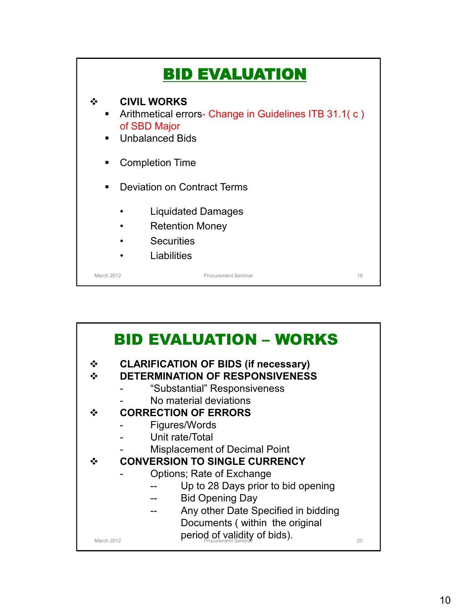

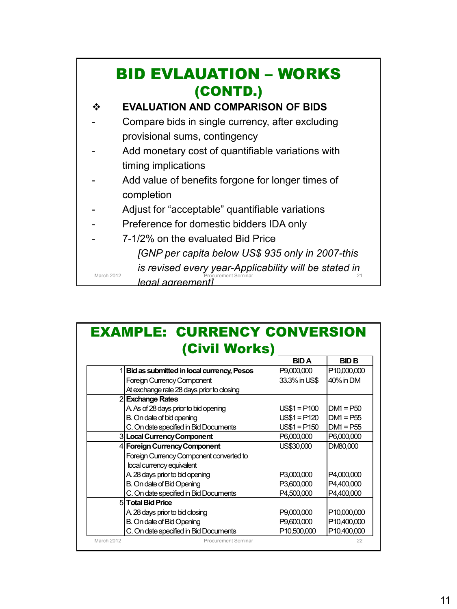|            | <b>BID EVLAUATION – WORKS</b><br>(CONTD.)                                         |
|------------|-----------------------------------------------------------------------------------|
|            | <b>EVALUATION AND COMPARISON OF BIDS</b>                                          |
|            | Compare bids in single currency, after excluding<br>provisional sums, contingency |
|            | Add monetary cost of quantifiable variations with<br>timing implications          |
|            | Add value of benefits forgone for longer times of<br>completion                   |
|            | Adjust for "acceptable" quantifiable variations                                   |
|            | Preference for domestic bidders IDA only                                          |
|            | 7-1/2% on the evaluated Bid Price                                                 |
|            | [GNP per capita below US\$ 935 only in 2007-this                                  |
| March 2012 | is revised every year-Applicability will be stated in<br>legal agreementi         |

| <b>EXAMPLE: CURRENCY CONVERSION</b> |                                             |               |              |  |  |  |  |
|-------------------------------------|---------------------------------------------|---------------|--------------|--|--|--|--|
|                                     | (Civil Works)                               | <b>BIDA</b>   | <b>BID B</b> |  |  |  |  |
|                                     | 1 Bid as submitted in local currency, Pesos | P9,000,000    | P10,000,000  |  |  |  |  |
|                                     | <b>Foreign Currency Component</b>           | 33.3% in US\$ | 40% in DM    |  |  |  |  |
|                                     | At exchange rate 28 days prior to closing   |               |              |  |  |  |  |
|                                     | 2 Exchange Rates                            |               |              |  |  |  |  |
|                                     | A As of 28 days prior to bid opening        | $US$1 = P100$ | $DM = P50$   |  |  |  |  |
|                                     | B. On date of bid opening                   | $US$1 = P120$ | $DM = P55$   |  |  |  |  |
|                                     | C. On date specified in Bid Documents       | $US$1 = P150$ | $DM = P55$   |  |  |  |  |
|                                     | 3 Local Currency Component                  | P6,000,000    | P6,000,000   |  |  |  |  |
|                                     | 4 Foreign Currency Component                | US\$30,000    | DM80,000     |  |  |  |  |
|                                     | Foreign Currency Component converted to     |               |              |  |  |  |  |
|                                     | local currency equivalent                   |               |              |  |  |  |  |
|                                     | A 28 days prior to bid opening              | P3,000,000    | P4,000,000   |  |  |  |  |
|                                     | B. On date of Bid Opening                   | P3,600,000    | P4.400.000   |  |  |  |  |
|                                     | C. On date specified in Bid Documents       | P4,500,000    | P4,400,000   |  |  |  |  |
|                                     | 5 Total Bid Price                           |               |              |  |  |  |  |
|                                     | A 28 days prior to bid closing              | P9,000,000    | P10,000,000  |  |  |  |  |
|                                     | B. On date of Bid Opening                   | P9,600,000    | P10,400,000  |  |  |  |  |
|                                     | C. On date specified in Bid Documents       | P10,500,000   | P10,400,000  |  |  |  |  |
| March 2012                          | <b>Procurement Seminar</b>                  |               | 22           |  |  |  |  |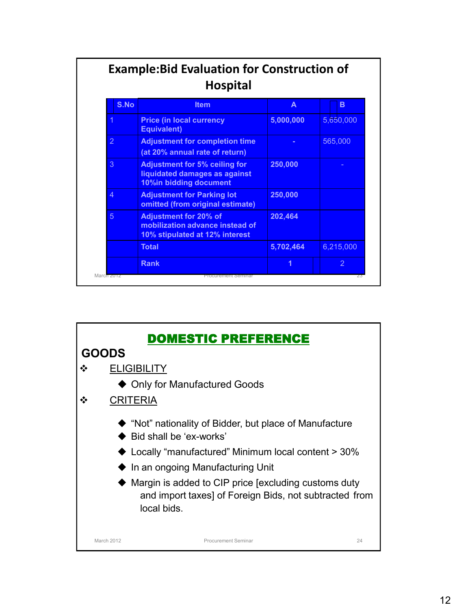| S.No           | <b>Item</b>                                                                                       | A         | B              |
|----------------|---------------------------------------------------------------------------------------------------|-----------|----------------|
|                | <b>Price (in local currency</b><br><b>Equivalent)</b>                                             | 5,000,000 | 5,650,000      |
| $\overline{2}$ | <b>Adjustment for completion time</b><br>(at 20% annual rate of return)                           |           | 565,000        |
| 3              | <b>Adjustment for 5% ceiling for</b><br>liquidated damages as against<br>10%in bidding document   | 250,000   |                |
| 4              | <b>Adjustment for Parking lot</b><br>omitted (from original estimate)                             | 250,000   |                |
| 5              | <b>Adjustment for 20% of</b><br>mobilization advance instead of<br>10% stipulated at 12% interest | 202,464   |                |
|                | <b>Total</b>                                                                                      | 5,702,464 | 6,215,000      |
|                | <b>Rank</b>                                                                                       | 1         | $\overline{2}$ |

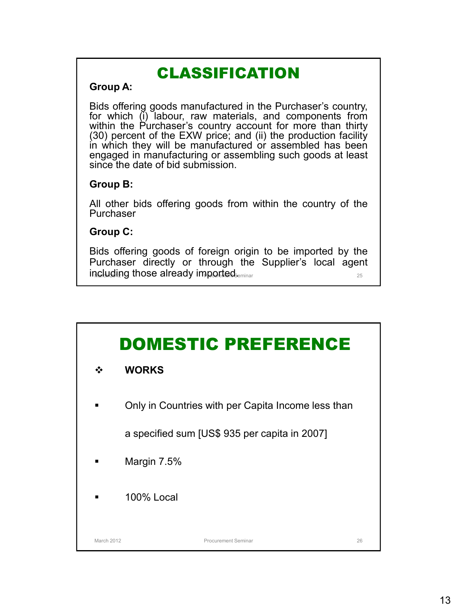# CLASSIFICATION

### **Group A:**

Bids offering goods manufactured in the Purchaser's country, for which (i) labour, raw materials, and components from within the Purchaser's country account for more than thirty (30) percent of the EXW price; and (ii) the production facility in which they will be manufactured or assembled has been engaged in manufacturing or assembling such goods at least since the date of bid submission.

### **Group B:**

All other bids offering goods from within the country of the Purchaser

### **Group C:**

including those already imported.  $\frac{1}{25}$ Bids offering goods of foreign origin to be imported by the Purchaser directly or through the Supplier's local agent

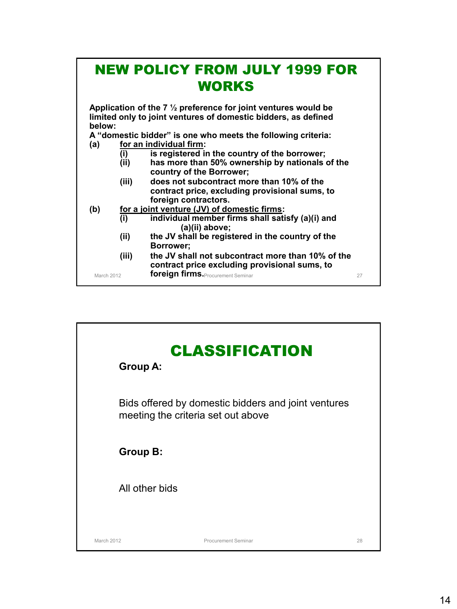# NEW POLICY FROM JULY 1999 FOR WORKS

**Application of the 7 ½ preference for joint ventures would be limited only to joint ventures of domestic bidders, as defined below:**

**A "domestic bidder" is one who meets the following criteria:**

- **(a) for an individual firm:**
	- **(i) is registered in the country of the borrower;**
	- **(ii) has more than 50% ownership by nationals of the country of the Borrower;**
	- **(iii) does not subcontract more than 10% of the contract price, excluding provisional sums, to foreign contractors.**
- **(b) for a joint venture (JV) of domestic firms:**
	- **(i) individual member firms shall satisfy (a)(i) and (a)(ii) above;**
	- **(ii) the JV shall be registered in the country of the Borrower;**
	- March 2012 **foreign firms.** Procurement Seminar **Properties 2008** 27 **(iii) the JV shall not subcontract more than 10% of the contract price excluding provisional sums, to**

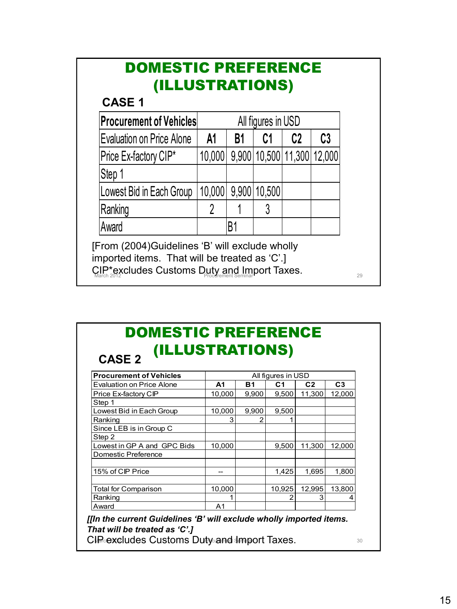# DOMESTIC PREFERENCE (ILLUSTRATIONS)

# **CASE 1**

| <b>Procurement of Vehicles</b>                                                                  | All figures in USD |                |                     |                            |    |  |
|-------------------------------------------------------------------------------------------------|--------------------|----------------|---------------------|----------------------------|----|--|
| Evaluation on Price Alone                                                                       | A <sub>1</sub>     | B1             | C1                  | C <sub>2</sub>             | C3 |  |
| Price Ex-factory CIP*                                                                           | 10,000             |                |                     | 9,900 10,500 11,300 12,000 |    |  |
| Step 1                                                                                          |                    |                |                     |                            |    |  |
| Lowest Bid in Each Group                                                                        |                    |                | 10,000 9,900 10,500 |                            |    |  |
| Ranking                                                                                         |                    |                |                     |                            |    |  |
| Award                                                                                           |                    | B <sub>1</sub> |                     |                            |    |  |
| [From (2004)Guidelines 'B' will exclude wholly<br>imported items. That will be treated as 'C'.] |                    |                |                     |                            |    |  |

CIP\*excludes Customs Duty and Import Taxes.<br>March 2012

### DOMESTIC PREFERENCE (ILLUSTRATIONS) **CASE 2**

| <b>Procurement of Vehicles</b> | All figures in USD |           |        |                |                |
|--------------------------------|--------------------|-----------|--------|----------------|----------------|
| Evaluation on Price Alone      | A1                 | <b>B1</b> | С1     | C <sub>2</sub> | C <sub>3</sub> |
| Price Ex-factory CIP           | 10,000             | 9,900     | 9,500  | 11,300         | 12,000         |
| Step 1                         |                    |           |        |                |                |
| Lowest Bid in Each Group       | 10.000             | 9.900     | 9,500  |                |                |
| Ranking                        | 3                  |           |        |                |                |
| Since LEB is in Group C        |                    |           |        |                |                |
| Step 2                         |                    |           |        |                |                |
| Lowest in GP A and GPC Bids    | 10.000             |           | 9.500  | 11.300         | 12.000         |
| Domestic Preference            |                    |           |        |                |                |
|                                |                    |           |        |                |                |
| 15% of CIP Price               |                    |           | 1.425  | 1.695          | 1.800          |
|                                |                    |           |        |                |                |
| <b>Total for Comparison</b>    | 10.000             |           | 10,925 | 12,995         | 13,800         |
| Ranking                        |                    |           |        | 3              | 4              |
| Award                          | A <sub>1</sub>     |           |        |                |                |

*[[In the current Guidelines 'B' will exclude wholly imported items. That will be treated as 'C'.]*

CIP excludes Customs Duty and Import Taxes. The contract of the contract of the contract of the contract of the contract of the contract of the contract of the contract of the contract of the contract of the contract of th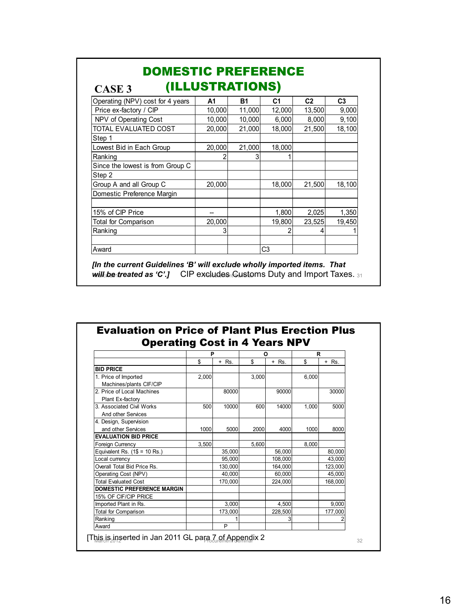| Operating (NPV) cost for 4 years | A1     | <b>B1</b> | C <sub>1</sub> | C <sub>2</sub> | C <sub>3</sub> |
|----------------------------------|--------|-----------|----------------|----------------|----------------|
| Price ex-factory / CIP           | 10,000 | 11,000    | 12,000         | 13,500         | 9,000          |
| NPV of Operating Cost            | 10,000 | 10,000    | 6,000          | 8,000          | 9,100          |
| TOTAL EVALUATED COST             | 20,000 | 21,000    | 18,000         | 21,500         | 18,100         |
| Step 1                           |        |           |                |                |                |
| Lowest Bid in Each Group         | 20,000 | 21,000    | 18,000         |                |                |
| Ranking                          |        | 3         |                |                |                |
| Since the lowest is from Group C |        |           |                |                |                |
| Step 2                           |        |           |                |                |                |
| Group A and all Group C          | 20,000 |           | 18,000         | 21,500         | 18,100         |
| Domestic Preference Margin       |        |           |                |                |                |
| 15% of CIP Price                 |        |           | 1,800          | 2,025          | 1,350          |
| Total for Comparison             | 20,000 |           | 19,800         | 23,525         | 19,450         |
| Ranking                          | 3      |           |                |                |                |
| Award                            |        |           | C <sub>3</sub> |                |                |

Where the area as  $\mathbf{C}.I$  . On excludes is distoned Duty and import Taxes.  $_{31}$ will be treated as 'C'.*]* CIP excludes Gustoms Duty and Import Taxes.

| <b>Evaluation on Price of Plant Plus Erection Plus</b> |  |
|--------------------------------------------------------|--|
| <b>Operating Cost in 4 Years NPV</b>                   |  |

|                                   | P     |         | O     |         | R     |         |
|-----------------------------------|-------|---------|-------|---------|-------|---------|
|                                   | S     | $+$ Rs. | S     | $+$ Rs. | S     | $+$ Rs. |
| <b>BID PRICE</b>                  |       |         |       |         |       |         |
| 1. Price of Imported              | 2,000 |         | 3,000 |         | 6,000 |         |
| Machines/plants CIF/CIP           |       |         |       |         |       |         |
| 2. Price of Local Machines        |       | 80000   |       | 90000   |       | 30000   |
| Plant Ex-factory                  |       |         |       |         |       |         |
| 3 Associated Civil Works          | 500   | 10000   | 600   | 14000   | 1.000 | 5000    |
| And other Services                |       |         |       |         |       |         |
| 4. Design, Supervision            |       |         |       |         |       |         |
| and other Services                | 1000  | 5000    | 2000  | 4000    | 1000  | 8000    |
| <b>EVALUATION BID PRICE</b>       |       |         |       |         |       |         |
| Foreign Currency                  | 3,500 |         | 5.600 |         | 8.000 |         |
| Equivalent Rs. $(1$ \$ = 10 Rs.)  |       | 35,000  |       | 56,000  |       | 80,000  |
| Local currency                    |       | 95.000  |       | 108.000 |       | 43.000  |
| Overall Total Bid Price Rs.       |       | 130,000 |       | 164,000 |       | 123,000 |
| Operating Cost (NPV)              |       | 40,000  |       | 60,000  |       | 45,000  |
| <b>Total Evaluated Cost</b>       |       | 170.000 |       | 224.000 |       | 168.000 |
| <b>DOMESTIC PREFERENCE MARGIN</b> |       |         |       |         |       |         |
| 15% OF CIF/CIP PRICE              |       |         |       |         |       |         |
| Imported Plant in Rs.             |       | 3,000   |       | 4,500   |       | 9,000   |
| <b>Total for Comparison</b>       |       | 173,000 |       | 228,500 |       | 177,000 |
| Ranking                           |       |         |       | 3       |       |         |
| Award                             |       | P       |       |         |       |         |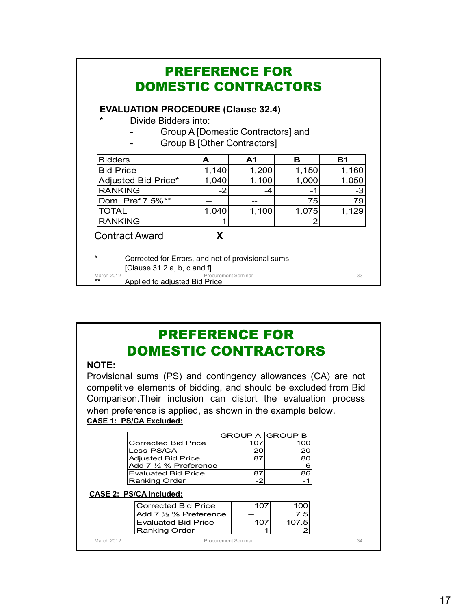| <b>EVALUATION PROCEDURE (Clause 32.4)</b> |                                    |                |       |       |
|-------------------------------------------|------------------------------------|----------------|-------|-------|
| *<br>Divide Bidders into:                 |                                    |                |       |       |
|                                           | Group A [Domestic Contractors] and |                |       |       |
|                                           | Group B [Other Contractors]        |                |       |       |
| <b>Bidders</b>                            | A                                  | A <sub>1</sub> | в     | Β1    |
| <b>Bid Price</b>                          | 1,140                              | 1,200          | 1,150 | 1,160 |
| Adjusted Bid Price*                       | 1,040                              | 1,100          | 1,000 | 1,050 |
| <b>RANKING</b>                            | $-2$                               | -4             | -1    | -3    |
| Dom. Pref 7.5%**                          |                                    |                | 75    | 79    |
| <b>TOTAL</b>                              | 1,040                              | 1,100          | 1,075 | 1,129 |
| <b>RANKING</b>                            | -1                                 |                | -2    |       |
| <b>Contract Award</b>                     | X                                  |                |       |       |
|                                           |                                    |                |       |       |

# PREFERENCE FOR DOMESTIC CONTRACTORS

#### **NOTE:**

Provisional sums (PS) and contingency allowances (CA) are not competitive elements of bidding, and should be excluded from Bid Comparison.Their inclusion can distort the evaluation process when preference is applied, as shown in the example below. **CASE 1: PS/CA Excluded:**

|                        |     | <b>GROUP A GROUP B</b> |
|------------------------|-----|------------------------|
| Corrected Bid Price    | 107 | 100                    |
| Less PS/CA             | -20 | -20                    |
| Adjusted Bid Price     |     |                        |
| lAdd 7 ½ % Preferencel |     | 6                      |
| Evaluated Bid Price    |     | 86                     |
| Ranking Order          |     |                        |

#### **CASE 2: PS/CA Included:**

|            | <b>Corrected Bid Price</b>      | 107 | 100   |
|------------|---------------------------------|-----|-------|
|            | Add $7\frac{1}{2}$ % Preference | --  | .5    |
|            | <b>Evaluated Bid Price</b>      | 107 | 107.5 |
|            | Ranking Order                   |     |       |
| March 2012 | Procurement Seminar             |     |       |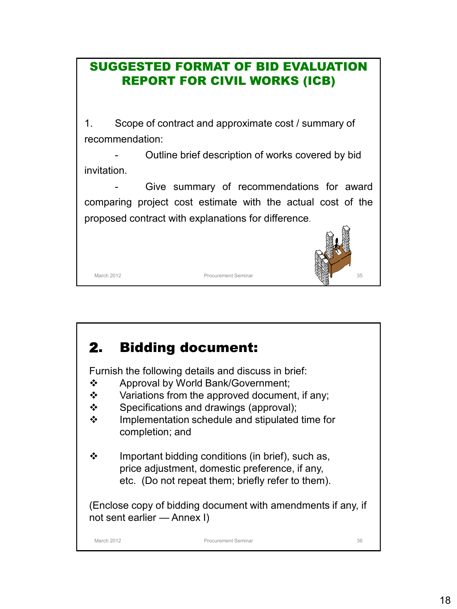# SUGGESTED FORMAT OF BID EVALUATION REPORT FOR CIVIL WORKS (ICB)

1. Scope of contract and approximate cost / summary of recommendation:

Outline brief description of works covered by bid invitation.

Give summary of recommendations for award comparing project cost estimate with the actual cost of the proposed contract with explanations for difference.



# 2. Bidding document:

Furnish the following details and discuss in brief:

- ❖ Approval by World Bank/Government;
- $\mathbf{\hat{P}}$  Variations from the approved document, if any;
- $\div$  Specifications and drawings (approval);
- $\div$  Implementation schedule and stipulated time for completion; and
- $\div$  Important bidding conditions (in brief), such as, price adjustment, domestic preference, if any, etc. (Do not repeat them; briefly refer to them).

(Enclose copy of bidding document with amendments if any, if not sent earlier — Annex I)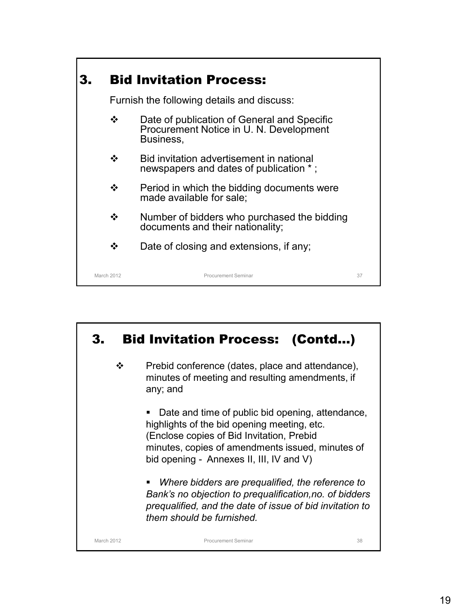

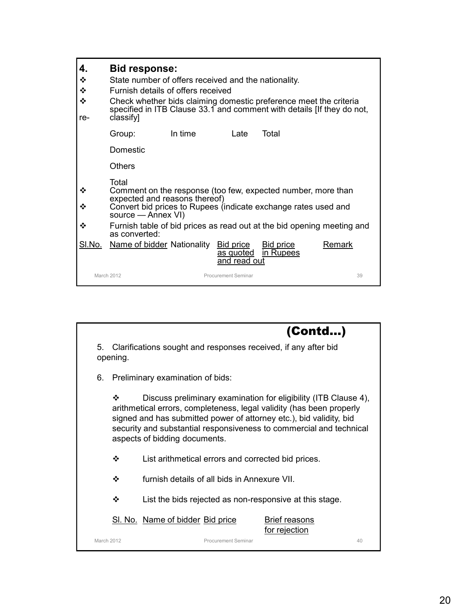| 4.<br>❖<br>❖<br>❖<br>re- | <b>Bid response:</b><br>State number of offers received and the nationality.<br>Furnish details of offers received<br>Check whether bids claiming domestic preference meet the criteria<br>classify] |         |                                               |                               | specified in ITB Clause 33.1 and comment with details IIf they do not, |
|--------------------------|------------------------------------------------------------------------------------------------------------------------------------------------------------------------------------------------------|---------|-----------------------------------------------|-------------------------------|------------------------------------------------------------------------|
|                          | Group:                                                                                                                                                                                               | In time | Late                                          | Total                         |                                                                        |
|                          | Domestic                                                                                                                                                                                             |         |                                               |                               |                                                                        |
|                          | <b>Others</b>                                                                                                                                                                                        |         |                                               |                               |                                                                        |
| ❖<br>❖                   | Total<br>Comment on the response (too few, expected number, more than<br>expected and reasons thereof)<br>Convert bid prices to Rupees (indicate exchange rates used and<br>source — Annex VI)       |         |                                               |                               |                                                                        |
| ❖                        | as converted:                                                                                                                                                                                        |         |                                               |                               | Furnish table of bid prices as read out at the bid opening meeting and |
| SI.No.                   | Name of bidder Nationality                                                                                                                                                                           |         | <b>Bid price</b><br>as quoted<br>and read out | <b>Bid price</b><br>in Rupees | Remark                                                                 |
|                          | March 2012                                                                                                                                                                                           |         | Procurement Seminar                           |                               | 39                                                                     |

March 2012 Procurement Seminar 40 5. Clarifications sought and responses received, if any after bid opening. 6. Preliminary examination of bids: Discuss preliminary examination for eligibility (ITB Clause 4), arithmetical errors, completeness, legal validity (has been properly signed and has submitted power of attorney etc.), bid validity, bid security and substantial responsiveness to commercial and technical aspects of bidding documents. List arithmetical errors and corrected bid prices. furnish details of all bids in Annexure VII.  $\div$  List the bids rejected as non-responsive at this stage. SI. No. Name of bidder Bid price Brief reasons for rejection (Contd…)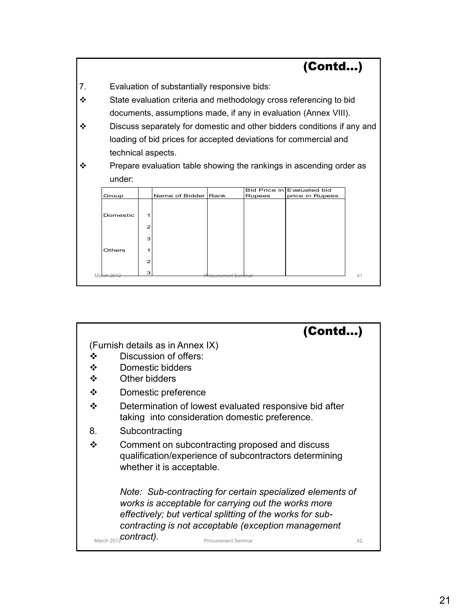

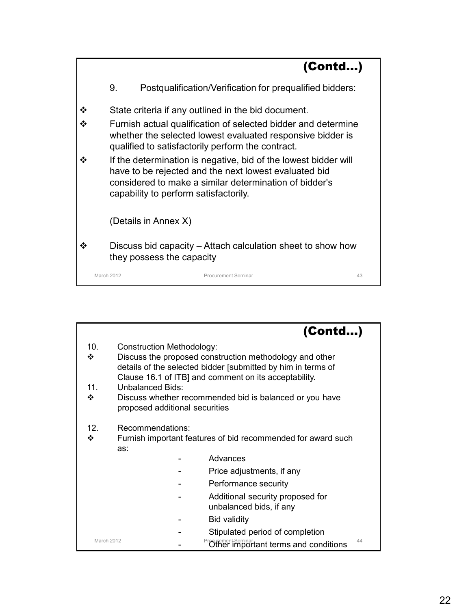|     |                      |                                                                                                                                                                                                                             | (Contd) |
|-----|----------------------|-----------------------------------------------------------------------------------------------------------------------------------------------------------------------------------------------------------------------------|---------|
|     | 9.                   | Postqualification/Verification for prequalified bidders:                                                                                                                                                                    |         |
|     |                      | State criteria if any outlined in the bid document.                                                                                                                                                                         |         |
|     |                      | Furnish actual qualification of selected bidder and determine<br>whether the selected lowest evaluated responsive bidder is<br>qualified to satisfactorily perform the contract.                                            |         |
| ∙?∙ |                      | If the determination is negative, bid of the lowest bidder will<br>have to be rejected and the next lowest evaluated bid<br>considered to make a similar determination of bidder's<br>capability to perform satisfactorily. |         |
|     | (Details in Annex X) |                                                                                                                                                                                                                             |         |
|     |                      | Discuss bid capacity – Attach calculation sheet to show how<br>they possess the capacity                                                                                                                                    |         |
|     | March 2012           | Procurement Seminar                                                                                                                                                                                                         | 43      |

|                 |                                | (Contd)                                                                                                                                                                          |
|-----------------|--------------------------------|----------------------------------------------------------------------------------------------------------------------------------------------------------------------------------|
| 10.             | Construction Methodology:      |                                                                                                                                                                                  |
| ❖               |                                | Discuss the proposed construction methodology and other<br>details of the selected bidder [submitted by him in terms of<br>Clause 16.1 of ITB] and comment on its acceptability. |
| 11 <sub>1</sub> | Unbalanced Bids:               |                                                                                                                                                                                  |
| ❖               | proposed additional securities | Discuss whether recommended bid is balanced or you have                                                                                                                          |
| 12 <sub>1</sub> | Recommendations:               |                                                                                                                                                                                  |
| ❖               | as:                            | Furnish important features of bid recommended for award such                                                                                                                     |
|                 |                                | Advances                                                                                                                                                                         |
|                 |                                | Price adjustments, if any                                                                                                                                                        |
|                 |                                | Performance security                                                                                                                                                             |
|                 |                                | Additional security proposed for<br>unbalanced bids, if any                                                                                                                      |
|                 |                                | Bid validity                                                                                                                                                                     |
|                 |                                | Stipulated period of completion                                                                                                                                                  |
|                 | March 2012                     | 44<br><b><i><u>equement Seminar</u></i></b><br>Other important terms and conditions                                                                                              |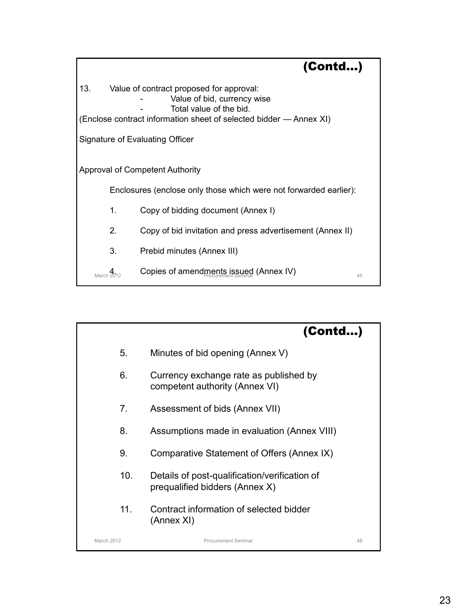|     |    | (Contd)                                                                                            |  |
|-----|----|----------------------------------------------------------------------------------------------------|--|
| 13. |    | Value of contract proposed for approval:<br>Value of bid, currency wise<br>Total value of the bid. |  |
|     |    | (Enclose contract information sheet of selected bidder - Annex XI)                                 |  |
|     |    | Signature of Evaluating Officer                                                                    |  |
|     |    |                                                                                                    |  |
|     |    | Approval of Competent Authority                                                                    |  |
|     |    | Enclosures (enclose only those which were not forwarded earlier):                                  |  |
|     | 1. | Copy of bidding document (Annex I)                                                                 |  |
|     | 2. | Copy of bid invitation and press advertisement (Annex II)                                          |  |
|     | 3. | Prebid minutes (Annex III)                                                                         |  |
|     |    | Copies of amendments issued (Annex IV)<br>45                                                       |  |

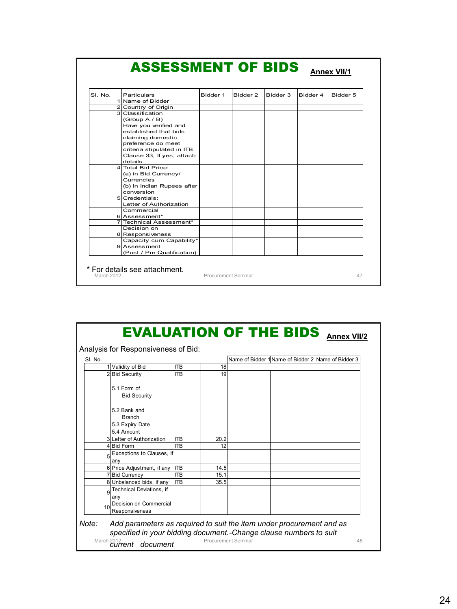| SI. No. | Particulars                                                                                                                                                                                              | Bidder 1 | Bidder 2 | Bidder 3 | Bidder 4 | Bidder 5 |
|---------|----------------------------------------------------------------------------------------------------------------------------------------------------------------------------------------------------------|----------|----------|----------|----------|----------|
|         | 1 Name of Bidder                                                                                                                                                                                         |          |          |          |          |          |
|         | 2 Country of Origin                                                                                                                                                                                      |          |          |          |          |          |
|         | 3 Classification<br>(Group $A / B$ )<br>Have you verified and<br>established that bids<br>claiming domestic<br>preference do meet<br>criteria stipulated in ITB<br>Clause 33, If yes, attach<br>details. |          |          |          |          |          |
|         | 4 Total Bid Price:<br>(a) in Bid Currency/<br>Currencies<br>(b) in Indian Rupees after<br>conversion                                                                                                     |          |          |          |          |          |
|         | $5$ Credentials:<br>Letter of Authorization<br>Commercial                                                                                                                                                |          |          |          |          |          |
|         | 6 Assessment*                                                                                                                                                                                            |          |          |          |          |          |
|         | 7 Technical Assessment*                                                                                                                                                                                  |          |          |          |          |          |
|         | Decision on<br>8 Responsiveness                                                                                                                                                                          |          |          |          |          |          |
|         | Capacity cum Capability*<br>9 Assessment<br>(Post / Pre Qualification)                                                                                                                                   |          |          |          |          |          |

| SI. No. |                                          |            |      |  | Name of Bidder 1 Name of Bidder 2 Name of Bidder 3 |  |
|---------|------------------------------------------|------------|------|--|----------------------------------------------------|--|
|         | 1 Validity of Bid                        | <b>ITB</b> | 18   |  |                                                    |  |
|         | 2 Bid Security                           | <b>ITR</b> | 19   |  |                                                    |  |
|         | 5.1 Form of                              |            |      |  |                                                    |  |
|         | <b>Bid Security</b>                      |            |      |  |                                                    |  |
|         | 5.2 Bank and                             |            |      |  |                                                    |  |
|         | <b>Branch</b>                            |            |      |  |                                                    |  |
|         | 5.3 Expiry Date                          |            |      |  |                                                    |  |
|         | 5.4 Amount                               |            |      |  |                                                    |  |
|         | 3 Letter of Authorization                | <b>ITB</b> | 20.2 |  |                                                    |  |
|         | 4 Bid Form                               | <b>ITB</b> | 12   |  |                                                    |  |
| 5       | Exceptions to Clauses, if<br>anv         |            |      |  |                                                    |  |
|         | 6 Price Adjustment, if any               | <b>ITB</b> | 14.5 |  |                                                    |  |
|         | 7 Bid Currency                           | <b>ITB</b> | 15.1 |  |                                                    |  |
|         | 8 Unbalanced bids, if any                | <b>ITB</b> | 35.5 |  |                                                    |  |
| 9       | Technical Deviations, if<br>any          |            |      |  |                                                    |  |
| 10      | Decision on Commercial<br>Responsiveness |            |      |  |                                                    |  |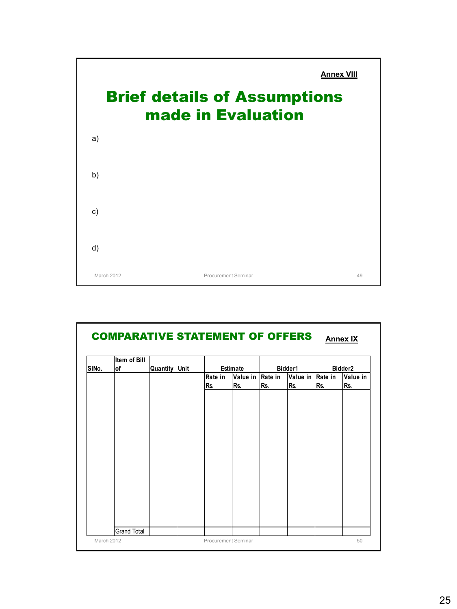

| Item of Bill<br><b>of</b> |  |          | Estimate       |     | Bidder1        |          | Bidder <sub>2</sub> |                  |
|---------------------------|--|----------|----------------|-----|----------------|----------|---------------------|------------------|
|                           |  |          | Rate in<br>Rs. | Rs. | Rate in<br>Rs. | Rs.      | Rs.                 | Value in<br>Rs.  |
|                           |  |          |                |     |                |          |                     |                  |
|                           |  |          |                |     |                |          |                     |                  |
|                           |  |          |                |     |                |          |                     |                  |
|                           |  |          |                |     |                |          |                     |                  |
|                           |  |          |                |     |                |          |                     |                  |
|                           |  |          |                |     |                |          |                     |                  |
|                           |  |          |                |     |                |          |                     |                  |
|                           |  | Quantity | Unit           |     |                | Value in |                     | Value in Rate in |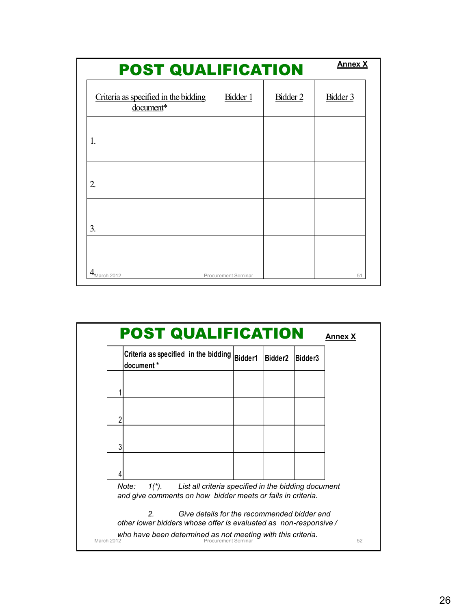|                  | <b>POST QUALIFICATION</b>                         | <b>Annex X</b>      |          |          |
|------------------|---------------------------------------------------|---------------------|----------|----------|
|                  | Criteria as specified in the bidding<br>document* | Bidder 1            | Bidder 2 | Bidder 3 |
| 1.               |                                                   |                     |          |          |
| $\overline{2}$ . |                                                   |                     |          |          |
| 3.               |                                                   |                     |          |          |
|                  | $4_{\text{March }2012}$                           | Procurement Seminar |          | 51       |

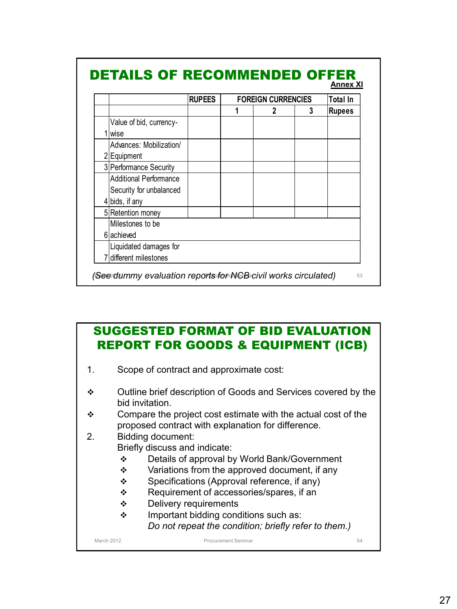|                         | <b>RUPEES</b> | <b>FOREIGN CURRENCIES</b> |  | Total In |               |
|-------------------------|---------------|---------------------------|--|----------|---------------|
|                         |               |                           |  | 3        | <b>Rupees</b> |
| Value of bid, currency- |               |                           |  |          |               |
| <b>wise</b>             |               |                           |  |          |               |
| Advances: Mobilization/ |               |                           |  |          |               |
| 2 Equipment             |               |                           |  |          |               |
| 3 Performance Security  |               |                           |  |          |               |
| Additional Performance  |               |                           |  |          |               |
| Security for unbalanced |               |                           |  |          |               |
| 4 bids, if any          |               |                           |  |          |               |
| 5 Retention money       |               |                           |  |          |               |
| Milestones to be        |               |                           |  |          |               |
| 6 achieved              |               |                           |  |          |               |
| Liquidated damages for  |               |                           |  |          |               |
| different milestones    |               |                           |  |          |               |

# SUGGESTED FORMAT OF BID EVALUATION REPORT FOR GOODS & EQUIPMENT (ICB)

- 1. Scope of contract and approximate cost:
- Outline brief description of Goods and Services covered by the bid invitation.
- Compare the project cost estimate with the actual cost of the proposed contract with explanation for difference.
- 2. Bidding document:
	- Briefly discuss and indicate:
		- Details of approval by World Bank/Government
		- $\div$  Variations from the approved document, if any
		- $\div$  Specifications (Approval reference, if any)
		- ❖ Requirement of accessories/spares, if an
		- **❖** Delivery requirements
		- ❖ Important bidding conditions such as: *Do not repeat the condition; briefly refer to them.)*

March 2012 **Procurement Seminar 54 Procurement Seminar** 54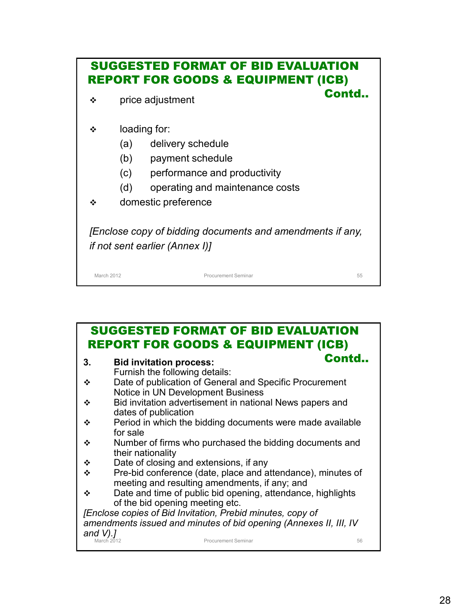| <b>SUGGESTED FORMAT OF BID EVALUATION</b><br><b>REPORT FOR GOODS &amp; EQUIPMENT (ICB)</b> |                     |                                                                                                    |    |  |  |  |
|--------------------------------------------------------------------------------------------|---------------------|----------------------------------------------------------------------------------------------------|----|--|--|--|
| ❖                                                                                          | price adjustment    | Contd                                                                                              |    |  |  |  |
| ❖                                                                                          | loading for:        |                                                                                                    |    |  |  |  |
|                                                                                            | (a)                 | delivery schedule                                                                                  |    |  |  |  |
|                                                                                            | (b)                 | payment schedule                                                                                   |    |  |  |  |
|                                                                                            | (c)                 | performance and productivity                                                                       |    |  |  |  |
|                                                                                            | (d)                 | operating and maintenance costs                                                                    |    |  |  |  |
| ❖                                                                                          | domestic preference |                                                                                                    |    |  |  |  |
|                                                                                            |                     | [Enclose copy of bidding documents and amendments if any,<br><i>if not sent earlier (Annex I)]</i> |    |  |  |  |
| March 2012                                                                                 |                     | <b>Procurement Seminar</b>                                                                         | 55 |  |  |  |

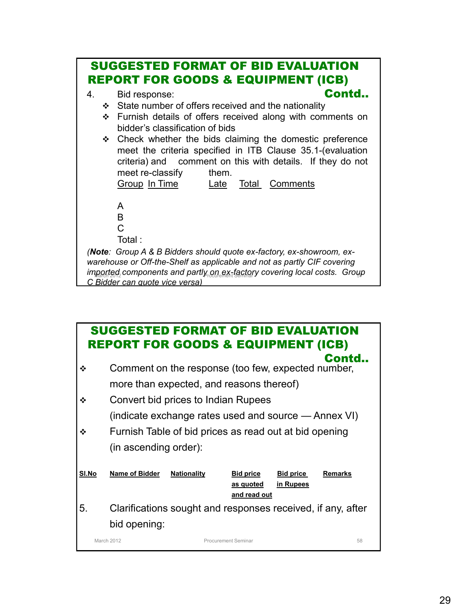

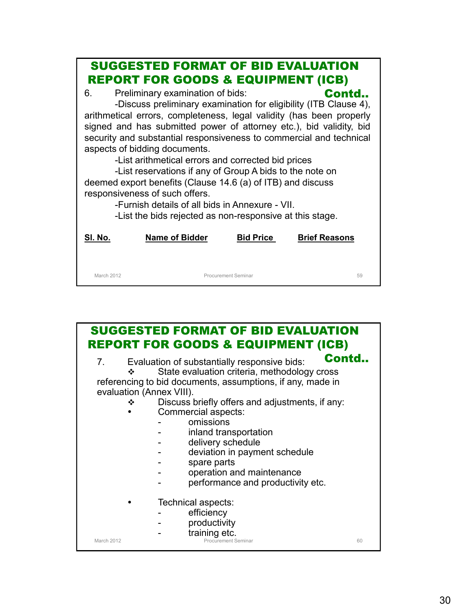|         | <b>SUGGESTED FORMAT OF BID EVALUATION</b><br><b>REPORT FOR GOODS &amp; EQUIPMENT (ICB)</b>                                                                                                                                                                                                                                                                                                                                                                                                                                                                                                                                                                                                    |                  |                      |
|---------|-----------------------------------------------------------------------------------------------------------------------------------------------------------------------------------------------------------------------------------------------------------------------------------------------------------------------------------------------------------------------------------------------------------------------------------------------------------------------------------------------------------------------------------------------------------------------------------------------------------------------------------------------------------------------------------------------|------------------|----------------------|
| 6.      | Preliminary examination of bids:<br>-Discuss preliminary examination for eligibility (ITB Clause 4),<br>arithmetical errors, completeness, legal validity (has been properly<br>signed and has submitted power of attorney etc.), bid validity, bid<br>security and substantial responsiveness to commercial and technical<br>aspects of bidding documents.<br>-List arithmetical errors and corrected bid prices<br>-List reservations if any of Group A bids to the note on<br>deemed export benefits (Clause 14.6 (a) of ITB) and discuss<br>responsiveness of such offers.<br>-Furnish details of all bids in Annexure - VII.<br>-List the bids rejected as non-responsive at this stage. |                  | Contd                |
| SI. No. | <b>Name of Bidder</b>                                                                                                                                                                                                                                                                                                                                                                                                                                                                                                                                                                                                                                                                         | <b>Bid Price</b> | <b>Brief Reasons</b> |
|         |                                                                                                                                                                                                                                                                                                                                                                                                                                                                                                                                                                                                                                                                                               |                  |                      |

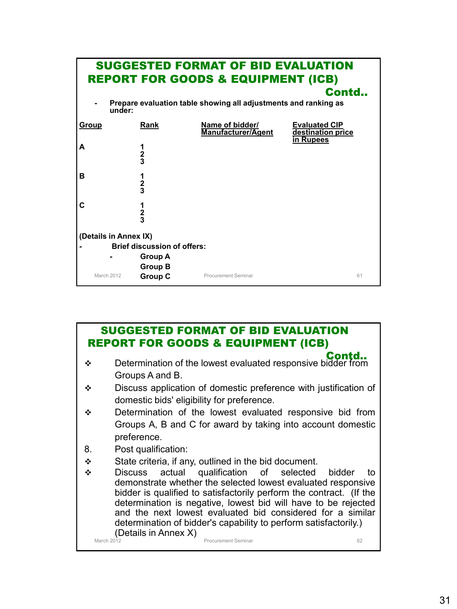| <b>SUGGESTED FORMAT OF BID EVALUATION</b><br><b>REPORT FOR GOODS &amp; EQUIPMENT (ICB)</b> |                                    |                                                                 |                                                               |  |  |  |
|--------------------------------------------------------------------------------------------|------------------------------------|-----------------------------------------------------------------|---------------------------------------------------------------|--|--|--|
|                                                                                            |                                    | Prepare evaluation table showing all adjustments and ranking as | Contd                                                         |  |  |  |
| under:                                                                                     |                                    |                                                                 |                                                               |  |  |  |
| Group                                                                                      | Rank                               | Name of bidder/<br>Manufacturer/Agent                           | <b>Evaluated CIP</b><br>destination price<br><b>in Rupees</b> |  |  |  |
| A                                                                                          | $\frac{1}{2}$                      |                                                                 |                                                               |  |  |  |
| в                                                                                          | $\frac{1}{2}$                      |                                                                 |                                                               |  |  |  |
| С                                                                                          | 1<br>$\frac{2}{3}$                 |                                                                 |                                                               |  |  |  |
| (Details in Annex IX)                                                                      |                                    |                                                                 |                                                               |  |  |  |
|                                                                                            | <b>Brief discussion of offers:</b> |                                                                 |                                                               |  |  |  |
|                                                                                            | <b>Group A</b>                     |                                                                 |                                                               |  |  |  |
| March 2012                                                                                 | <b>Group B</b><br><b>Group C</b>   | Procurement Seminar                                             | 61                                                            |  |  |  |

### SUGGESTED FORMAT OF BID EVALUATION REPORT FOR GOODS & EQUIPMENT (ICB)

- Determination of the lowest evaluated responsive bidder from Groups A and B. Contd..
- Discuss application of domestic preference with justification of domestic bids' eligibility for preference.
- $\div$  Determination of the lowest evaluated responsive bid from Groups A, B and C for award by taking into account domestic preference.
- 8. Post qualification:
- $\div$  State criteria, if any, outlined in the bid document.

March 2012 **Procurement Seminar 62 Procurement Seminar 62**  Discuss actual qualification of selected bidder to demonstrate whether the selected lowest evaluated responsive bidder is qualified to satisfactorily perform the contract. (If the determination is negative, lowest bid will have to be rejected and the next lowest evaluated bid considered for a similar determination of bidder's capability to perform satisfactorily.) (Details in Annex X)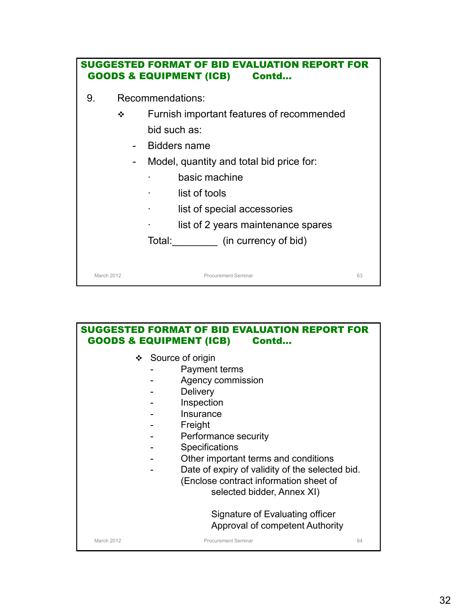|    |            | <b>SUGGESTED FORMAT OF BID EVALUATION REPORT FOR</b><br><b>GOODS &amp; EQUIPMENT (ICB) Contd</b> |  |
|----|------------|--------------------------------------------------------------------------------------------------|--|
| 9. |            | Recommendations:                                                                                 |  |
|    | ❖          | Furnish important features of recommended                                                        |  |
|    |            | bid such as:                                                                                     |  |
|    |            | Bidders name                                                                                     |  |
|    | -          | Model, quantity and total bid price for:                                                         |  |
|    |            | basic machine                                                                                    |  |
|    |            | list of tools                                                                                    |  |
|    |            | list of special accessories                                                                      |  |
|    |            | list of 2 years maintenance spares                                                               |  |
|    |            | Total: (in currency of bid)                                                                      |  |
|    |            |                                                                                                  |  |
|    | March 2012 | <b>Procurement Seminar</b><br>63                                                                 |  |

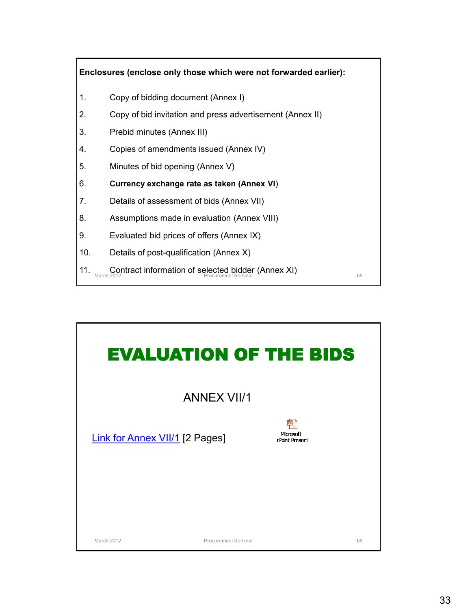

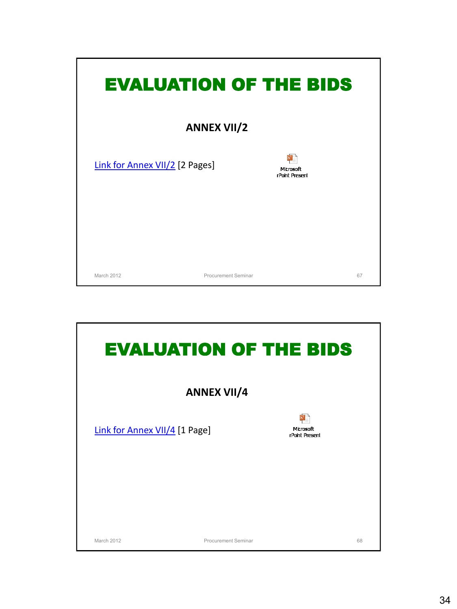